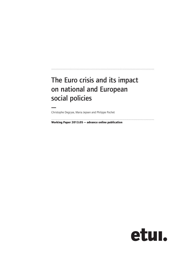# The Euro crisis and its impact on national and European social policies

.....................................................................................................................................

—Christophe Degryse, Maria Jepsen and Philippe Pochet

.....................................................................................................................................

**Working Paper 2013.05 — advance online publication**

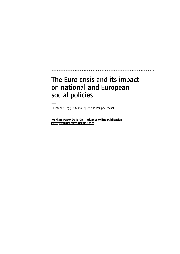# The Euro crisis and its impact on national and European social policies

— Christophe Degryse, Maria Jepsen and Philippe Pochet

**Working Paper 2013.05 — advance online publication european trade union institute**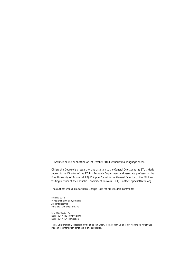— Advance online publication of 1st Octobre 2013 without final language check. —

Christophe Degryse is a researcher and assistant to the General Director at the ETUI. Maria Jepsen is the Director of the ETUI's Research Department and associate professor at the Free University of Brussels (ULB). Philippe Pochet is the General Director of the ETUI and visiting lecturer at the Catholic University of Louvain (UCL). Contact: ppochet@etui.org

The authors would like to thank George Ross for his valuable comments.

Brussels, 2013 © Publisher: ETUI aisbl, Brussels All rights reserved Print: ETUI printshop, Brussels

D/2013/10.574/21 ISSN 1994-4446 (print version) ISSN 1994-4454 (pdf version)

The ETUI is financially supported by the European Union. The European Union is not responsible for any use made of the information contained in this publication.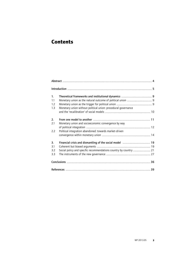## **Contents**

| $\mathbf{1}$ . |                                                                   |  |  |  |  |
|----------------|-------------------------------------------------------------------|--|--|--|--|
| 1.1            |                                                                   |  |  |  |  |
| 1.2            |                                                                   |  |  |  |  |
| 1.3            | Monetary union without political union: procedural governance     |  |  |  |  |
|                |                                                                   |  |  |  |  |
| 2.             |                                                                   |  |  |  |  |
| 2.1            | Monetary union and socioeconomic convergence by way               |  |  |  |  |
|                |                                                                   |  |  |  |  |
| 2.2            | Political integration abandoned: towards market-driven            |  |  |  |  |
|                |                                                                   |  |  |  |  |
| 3.             |                                                                   |  |  |  |  |
| 3.1            |                                                                   |  |  |  |  |
| 3.2            | Social policy and specific recommendations country by country  21 |  |  |  |  |
| 3.3            |                                                                   |  |  |  |  |
|                |                                                                   |  |  |  |  |
|                |                                                                   |  |  |  |  |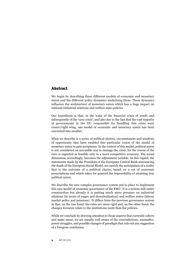#### **Abstract**

We begin by describing three different models of economic and monetary union and the different policy dynamics underlying them. These dynamics influence the architecture of monetary union which has a huge impact on national industrial relations and welfare state policies.

Our hypothesis is that, in the wake of the financial crisis of 2008, and subsequently of the 'euro crisis', and also due to the fact that the vast majority of governments in the EU responsible for handling this crisis were centre/right-wing, one model of economic and monetary union has been converted into another.

What we describe is a series of political choices, circumstances and windows of opportunity that have enabled this particular vision of the model of monetary union to gain acceptance. In the context of this model, political union is not considered an accessible way to manage the crisis, for the rescue of the euro is regarded as feasible only in a more competitive economy. The social dimension, accordingly, becomes the adjustment variable. In this regard, the statements made by the President of the European Central Bank announcing the death of the European Social Model, are merely the anticipation of a reality that is the outcome of a political choice, based on a set of economic prescriptions and which takes for granted the impossibility of attaining true political union.

We describe the new complex governance system put in place to implement this new model of economic governance of the EMU. It is a system still under construction but already it is putting much more pressure on industrial relations (in terms of wages and decentralization) and welfare states (labour market policy and pensions). It differs from the previous governance system in that, on the one hand, the rules are more rigid and, on the other hand, the changes foreseen relate to the institutions more than the policies.

While we conclude by drawing attention to those aspects that currently cohere and make sense, we are equally well aware of the contradictions, anomalies, power struggles, and possible changes of paradigm that rule out any suggestion of a foregone conclusion.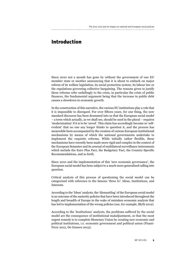### **Introduction**

Since 2010 not a month has gone by without the government of one EU member state or another announcing that it is about to embark on major reform of its welfare legislation, its social protection system, its labour law or the regulations governing collective bargaining. The reasons given to justify these reforms refer unfailingly to the crisis, in particular the crisis of public finances, the fundamental argument being that the increase in public debt causes a slowdown in economic growth.

In the construction of this narrative, the various EU institutions play a role that it is impossible to disregard. For over fifteen years, for one thing, the now standard discourse has been drummed into us that the European social model – a term which actually, as we shall see, should be used in the plural – requires 'modernization' if it is to be 'saved'. This claim has accordingly become so 'selfevident' that no one any longer thinks to question it, and the process has meanwhile been accompanied by the creation of various European institutional mechanisms by means of which the national governments undertake to implement the requisite reforms. While initially rather flexible, these mechanisms have recently been made more rigid and complex in the context of the European Semester and its arsenal of multilateral surveillance instruments which include the Euro Plus Pact, the Budgetary Pact, the Country-Specific Recommendations, and so forth.

Since 2010 and the implementation of this 'new economic governance', the European social model has been subject to a much more generalized calling into question.

Critical analysis of this process of questioning the social model can be categorized with reference to the famous 'three Is': Ideas, Institutions, and Interests.

According to the 'Ideas' analysts, the 'dismantling' of the European social model is an outcome of the austerity policies that have been introduced throughout the length and breadth of Europe in the wake of mistaken economic analysis that has led to implementation of the wrong policies (see, for example, Blyth 2012).

According to the 'Institutions' analysts, the problems suffered by the social model are the consequence of institutional maladjustment, so that the most urgent remedy is to complete Monetary Union by creating new economic and political institutions, i.e. economic government and political union (Pisani-Ferry 2012, De Grauwe 2013).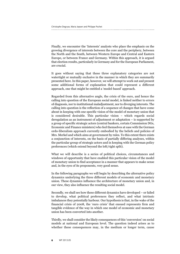Finally, we encounter the 'Interests' analysts who place the emphasis on the growing divergence of interests between the core and the periphery, between the North and the South, between Western Europe and Central and Eastern Europe, or between France and Germany. Within this approach, it is argued that election results, particularly in Germany and for the European Parliament, are crucial.

It goes without saying that these three explanatory categories are not watertight or mutually exclusive in the manner in which they are summarily presented here. In this paper, however, we will attempt to work out and present some additional forms of explanation that could represent a different approach, one that might be entitled a 'model-based' approach.

Regarded from this alternative angle, the crisis of the euro, and hence the calling into question of the European social model, is linked neither to errors of diagnosis, nor to institutional maladjustment, nor to diverging interests. The calling into question is the reflection of a sequence of changes that have come about in keeping with one specific vision of the model of monetary union that is considered desirable. This particular vision – which regards social deregulation as an instrument of adjustment or adaptation – is supported by a group of specific strategic actors (central bankers, certain Commission DGs, Economic and Finance ministers) who feel themselves at ease with the German ordo-liberalism approach currently embodied by the beliefs and policies of Mrs. Merkel and which aims at government by rules. To this extent there exists a conjunction of interests, on the basis of partially differing analyses, within the particular group of strategic actors and in keeping with the German policy preferences (which extend beyond the left/right split).

What we will describe is a series of political choices, circumstances and windows of opportunity that have enabled this particular vision of the model of monetary union to find acceptance in a manner that appears to make sense and, in the eyes of its proponents, very good sense.

In the following paragraphs we will begin by describing the alternative policy dynamics underlying the three different models of economic and monetary union. These dynamics influence the architecture of monetary union and, in our view, they also influence the resulting social model.

Secondly, we shall see how these different dynamics have developed – or failed to develop, what political preferences they reflect, and what intrinsic imbalances they potentially harbour. Our hypothesis is that, in the wake of the financial crisis of 2008, the 'euro crisis' that ensued represents firm and tangible evidence of the way in which one model of economic and monetary union has been converted into another.

Thirdly, we shall consider the likely consequences of this 'conversion' on social models at national and European level. The question indeed arises as to whether these consequences may, in the medium or longer term, cause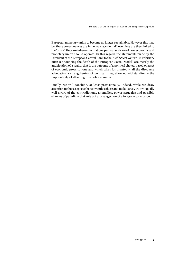European monetary union to become no longer sustainable. However this may be, these consequences are in no way 'accidental'; even less are they linked to the 'crisis'; they are inherent in that one particular vision of how economic and monetary union should operate. In this regard, the statements made by the President of the European Central Bank to the *Wall Street Journal* in February 2012 (announcing the death of the European Social Model) are merely the anticipation of a reality that is the outcome of a political choice, based on a set of economic prescriptions and which takes for granted – all the discourse advocating a strengthening of political integration notwithstanding – the impossibility of attaining true political union.

Finally, we will conclude, at least provisionally. Indeed, while we draw attention to those aspects that currently cohere and make sense, we are equally well aware of the contradictions, anomalies, power struggles and possible changes of paradigm that rule out any suggestion of a foregone conclusion.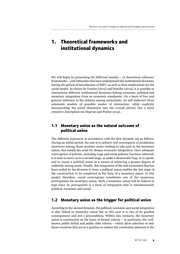## **1. Theoretical frameworks and institutional dynamics**

We will begin by presenting the different models – or theoretical reference frameworks – and rationales that have underpinned the institutional dynamics during the period of introduction of EMU, as well as their implications for the social model. As shown by Verdun (2013) and Schelke (2013), it is possible to characterize different institutional dynamics linking economic, political and monetary integration from an economic standpoint. On a basis of free and general reference to the debates among economists, we will elaborate three schematic models of possible modes of interaction, while explicitly incorporating the social dimension into the overall picture (for a more extensive description see Degryse and Pochet 2013).

#### **1.1 Monetary union as the natural outcome of political union**

The different sequences in accordance with the first dynamic are as follows. During an initial period, the aim is to achieve real convergence of production structures among those member states wishing to take part in the monetary union; this entails the need for deeper economic integration. Once adequate convergence of policies, including wage and social policies, has been achieved, it is time to move on to a second stage, to make a democratic leap, so to speak, and to create a political union as a means of achieving a greater degree of solidarity among states. Finally, this integration of the real economies that has been sealed by the decision to form a political union enables the last stage of the construction to be completed in the form of a monetary union. In this model, therefore, social convergence constitutes one of the numerous prerequisites for monetary union. Such a monetary union will be federal in type since its prerequisite is a form of integration that is simultaneously political, economic and social.

### **1.2 Monetary union as the trigger for political union**

According to the second dynamic, the political, economic and social integration is also linked to monetary union but in this case it is one of its gradual consequences and not a precondition. Within this scenario, the monetary union is constructed on the basis of formal criteria – in particular, the wellknown public deficit and public debt criteria – which allow selection of only those countries that are in a position to endure the constraints inherent in the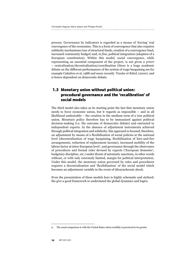process. Governance by indicators is regarded as a means of 'forcing' real convergence of the economies. This is a form of convergence that also requires solidarity mechanisms (use of structural funds, creation of a convergence fund, increased community budget) and, *in fine*, political integration (adoption of a European constitution). Within this model, social convergence, while representing an essential component of the project, is not given *a priori* – centralization/decentralization/coordination (there is a huge academic debate on the different performances of the system of wage bargaining see for example Calmfors et al, 1988 and more recently Traxler et Kittel, (2000) and is hence dependent on democratic debate.

### **1.3 Monetary union without political union: procedural governance and the 'recalibration' of social models**

The third model also takes as its starting point the fact that monetary union needs to force economic union, but it regards as impossible – and in all likelihood undesirable – the creation in the medium term of a true political union. Monetary policy therefore has to be immunized against political decision-making (i.e. the outcome of democratic debate) and entrusted to independent experts. In the absence of adjustment instruments achieved through political integration and solidarity, this approach is focused, therefore, on adjustment by means of a flexibilization of social policies at the national level (decentralization of wage bargaining, flexibilization of hire-and-fire arrangements, reduction of replacement income), increased mobility of the labour factor at intra-European level<sup>1</sup>, and governance through the observance of procedures and formal rules devised by experts ('European Semester', budgetary discipline, etc.) under threat of automatic sanctions, in other words without, or with only extremely limited, margin for political interpretation. Under this model, the monetary union governed by rules and procedures requires a decentralization and 'flexibilization' of the social model which becomes an adjustment variable in the event of idiosynchronic shock.

Even the presentation of these models here is highly schematic and stylized; the give a good framework to understand the global dynamics and logics.

**<sup>1.</sup>** The usual comparison is with the United States where mobility is perceived to be greater.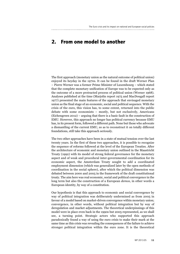### **2. From one model to another**

The first approach (monetary union as the natural outcome of political union) enjoyed its heyday in the 1970s. It can be found in the draft Werner Plan – Pierre Werner was a former Prime Minister of Luxembourg – which stated that the complete monetary unification of Europe was to be expected only as the outcome of a more protracted process of political union (Werner 1968). Analyses published at the time (Marjolin report 1975 and MacDougall report 1977) presented the main features of the approach that envisaged monetary union as the final stage of an economic, social and political sequence. With the crisis of the euro, this vision has, to some extent, returned into the public debate with some economists – mostly, but not exclusively, Americans (Eichengreen 2012) – arguing that there is a basic fault in the construction of EMU. However, this approach no longer has political currency because EMU has, in its present form, followed a different path. None but those who advocate a dismantling of the current EMU, so as to reconstruct it on totally different foundations, still take this approach seriously.

The two other approaches have been in a state of mutual tension over the last twenty years. In the first of these two approaches, it is possible to recognize the sequence of reforms followed at the level of the European Treaties. After the architecture of economic and monetary union outlined in the Maastricht Treaty (1992) with its model of strong federal governance for the monetary aspect and of weak and procedural inter-governmental coordination for its economic aspect, the Amsterdam Treaty sought to add a coordinated employment dimension (which was generalized later by the open methods of coordination in the social sphere), after which the political dimension was debated between 2000 and 2005 in the framework of the draft constitutional treaty. The aim here was real economic, social and political convergence in the long term but also the construction of a European *demos*, in other words a European identity, by way of a constitution.

Our hypothesis is that this approach to economic and social convergence by way of political integration was deliberately undermined as from 2005 in favour of a model based on market-driven convergence within monetary union; convergence, in other words, without political integration but by way of deregulation and market adjustments. The theoretical underpinnings of this model were in place even back in the 1990s but 2005 represented, as we shall see, a turning point. Strategic actors who supported this approach paradoxically found a way of using the euro crisis to make their mark at the same time as this crisis was revealing the consequences of the failure to achieve stronger political integration within the euro zone. It is the theoretical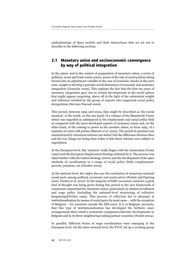underpinnings of these models and their interactions that we set out to describe in the following sections.

#### **2.1 Monetary union and socioeconomic convergence by way of political integration**

In the 1990s, and in the context of preparation of monetary union, a series of political, social and trade union actors, aware of the risk of social policies being turned into an adjustment variable in the case of economic shocks in the euro zone, sought to develop a genuine social dimension of economic and monetary integration (Goetschy 2005). This explains the fact that the first ten years of monetary integration gave rise to certain developments in the social sphere that might appear surprising, above all in the light of the substantial weight and influence wielded by the group of experts who supported social policy deregulation (Serrano Pascual 2009).

This period, between 1995 and 2004, that might be described as 'the social moment', is the result, on the one hand, of a critique of the Maastricht Treaty which was regarded as unbalanced in the employment and social policy field as compared with the more developed aspects of monetary union and, on the other hand, of the coming to power in the member states, as from 1995, of a majority of centre-left parties (Manow *et al.* 2005). The period in question was characterized by structural reforms (see below) but the difference between then and the way things are being done today is that these reforms were subject to negotiation.

At the European level, this 'moment' really began with the Amsterdam Treaty (1997) and the European Employment Strategy initiated by it. The process was taken further with the Lisbon Strategy (2000) and the development of the open methods of coordination in a range of social policy fields (employment, poverty, pensions, etc.)(Pochet 2005).

At the national level, the 1990s also saw the conclusion of numerous national social pacts among political, economic and social actors (Pochet and Fajertag 2000; Pochet *et al.* 2010). In the majority of EMU accession countries a great deal of thought was being given during this period to the new framework of constraints represented by monetary union, particularly in relation to inflation and wage policy (including the national-level structuring of collective bargaining)(Pochet 1999). This process of reflection led to attempts at institutionalization by means of social pacts (in most cases – with the exception of Belgium – for countries outside the DM zone). It is in Belgium, precisely, that this type of institutionalization has developed the furthest, since arrangements there entail a systematic comparison between developments in Belgium and in its three neighboring trading partner countries (Pochet 2004).

In parallel, different forms of wage coordination were emerging at the European level. On the inter-sectoral level, the ETUC set up a working group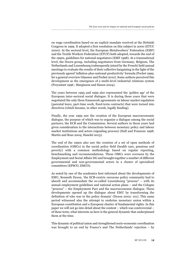on wage coordination based on an explicit mandate received at the Helsinki Congress in 1999. It adopted a first resolution on this subject in 2000 (ETUC 2000). At the sectoral level, the European Metalworkers' Federation (EMF) and the Textile Workers Federation (ETUF) both adopted, towards the end of the 1990s, guidelines for national negotiators (EMF 1998). At a transnational level, the Doorn group, including negotiators from Germany, Belgium, The Netherlands and Luxembourg (subsequently joined by the French) held annual meetings to evaluate the results of their collective bargaining in the light of the previously agreed 'inflation-plus-national-productivity' formula (Pochet 1999; for a general overview Glassner and Pochet 2010). Some authors perceived this development as the emergence of a multi-level industrial relations system (Freyssinet 1996 ; Marginson and Sisson 2004).

The years between 1995 and 1999 also represented the 'golden age' of the European inter-sectoral social dialogue. It is during these years that were negotiated the only three framework agreements on labour market regulation (parental leave, part-time work, fixed-term contracts) that were turned into directives (which became, in other words, legally binding).

Finally, the year 1999 saw the creation of the European macroeconomic dialogue, the purpose of which was to organize a dialogue among the social partners, the ECB and the Commission. Several authors in those years had given consideration to the interactions between monetary policy and labour market institutions and actors (signaling process) (Hall and Franzeze 1998; Martin and Ross 2004; Hancké 2013).

The end of the 1990s also saw the creation of a set of open methods of coordination (OMCs) in the social policy field (health care, pensions and poverty) with a common methodology based on regular reporting, benchmarking and recommendations. These OMCs were overseen by the Employment and Social Affairs DG and brought together a number of different governmental and non-governmental actors in a cluster of specialized committees (EPSCO, EMCO).

As noted by one of the academics best informed about the developments of EMU, Kenneth Dyson, 'the ECB-centric eurozone policy community had to absorb and accommodate the so-called Luxembourg "process" – with its annual employment guidelines and national action plans – and the Cologne "process" – the Employment Pact and the macroeconomic dialogue. These developments opened up the dialogue about EMU by transforming the definition of who was in the policy domain' (Dyson 2002: 101). This same period witnessed also the attempt to enshrine monetary union within a European constitution and a European charter of fundamental rights. In this paper we will not go into detail about the content – which was controversial – of these texts; what interests us here is the general dynamic that underpinned them at the time.

This dynamic of political union and strengthened socio-economic coordination was brought to an end by France's and The Netherlands' rejection – by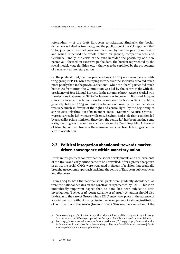referendum – of the draft European constitution. Similarly, the 'social' dynamic was halted as from 2005 and the publication of the Kok report entitled 'Jobs, jobs, jobs' that had been commissioned by the European Commission and which refocused the whole debate on growth, competitiveness and flexibility. Finally, the crisis of the euro heralded the possibility of a new narrative – focused on excessive public debt, the burden represented by the social model, wage rigidities, etc. – that was to be exploited by the proponents of a market-led monetary union.

On the political front, the European elections of 2004 saw the moderate rightwing group EPP-ED win a sweeping victory over the socialists, who did much more poorly than in the previous elections<sup>2</sup>, while the liberal parties did much better. As from 2005 the Commission was led by the centre-right with the presidency of José Manuel Barroso. In the autumn of 2005 Angela Merkel won the elections in Germany. Silvio Berlusconi was in power in Italy and Jacques Chirac in France, the latter soon to be replaced by Nicolas Sarkozy. More generally, between 2005 and 2012, the balance of power in the member states was very much in favour of the right and centre-right; by the beginning of spring 2012 only three out of 27 member states – Denmark, Austria, Cyprus – were governed by left-wingers while one, Belgium, had a left-right coalition led by a socialist prime minister. Since then the centre left has been making some – slight – progress in countries such as Italy or the Czech Republic. At the end of 2004, by contrast, twelve of these governments had been left-wing or centreleft3 in orientation.

### **2.2 Political integration abandoned: towards marketdriven convergence within monetary union**

It was in this political context that the social developments and achievements of the 1990s and early 2000s came to be unravelled. After a pretty sharp turn in 2005, the social OMCs were weakened in favour of a vision that gradually brought an economic approach back into the centre of European public policies and discourse

From 2004 to 2012 the national social pacts were gradually abandoned, as were the national debates on the constraints represented by EMU. This is an undoubtedly important aspect that, to date, has been subject to little investigation (Pochet *et al.* 2012; Advanic *et al.* 2011). Attention should also be drawn to the case of Greece where EMU entry took place in the absence of a social pact and without giving rise to the development of a strong institution of coordination in the 2000s (Ioannou 2012). This may be a reflection of the

**<sup>2.</sup>** From receiving 34.9% of votes in 1994 their share fell to 27.3% in 2004 and to 25% in 2009. In other words, in a fifteen-year period the European Socialists' share of the votes fell 10%.

**<sup>3.</sup>** See http://www.europarl.europa.eu/about parliament/fr/004a50d310/Composition-du-Parlement.html and also http://www.theguardian.com/world/interactive/2011/jul/28/ europe-politics-interactive-map-left-right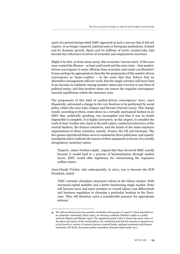spirit of a period during which EMU appeared as such a success that it did not require, or no longer required, national and/or European institutions. Ireland and its dynamic growth, Spain and its millions of newly created jobs, had become key references in terms of economic and employment successes.

Might it be that, as from 2004-2005, this economic 'success story' of the euro zone created the illusion – at least until 2008 and the euro crisis – that marketdriven convergence is more efficient than economic and social coordination? It may perhaps be appropriate to describe the proponents of this market-driven convergence as 'hyper-realists' – in the sense that they believe that no alternative arrangement will ever work, that the single currency will never lead to an increase in solidarity among member states and even less to any form of political union, and that markets alone can ensure the requisite convergence towards equilibrium within the monetary area.

The proponents of this kind of market-driven convergence<sup>4</sup> have, since Maastricht, advocated a change in the very function to be performed by social policy within the euro zone (Jepsen and Serrano Pascual 2005). This change would, according to them, come about in a virtually mechanical fashion in an EMU that, politically speaking, was incomplete and that it was no doubt impossible to complete. It is highly instructive, in this respect, to consider the work of Amy Verdun who, back in the mid-1990s, conducted interviews of the central bankers, the finance ministers, and the heads of the main employer organisations in three countries, namely, France, the UK and Germany. The few quotes reproduced below serve to summarize these politicians' and experts' standpoint and to indicate the nature of their arguments in favour of a socially deregulatory monetary union:

'Experts', states Verdun (1996), 'argued that they favoured EMU exactly because it would lead to a process of harmonization through market forces. EMU would offer legitimacy for restructuring the expensive welfare states'.

Jean-Claude Trichet, who subsequently, in 2001, was to become the ECB President, stated:

'EMU certainly stimulates structural reform in the labour market. With increased capital mobility and a better functioning single market, firms will become more and more sensitive to overall labour cost differentials and business regulation in choosing a particular location in the Eurozone. They will therefore exert a considerable pressure for appropriate reforms'.

**<sup>4.</sup>** We will not discuss here the question of whether this groups of 'experts' is best described as an epistemic community (Hass 1992), an advocacy coalition (Sabatier 1998) or a policy network (Marsh and Rhodes 1992). The significant point is that it shares the same vision of the place and nature of the social policy to be conducted and that the experts in question are to be found in a variety of centres of power (central banks, national economics and finance ministries, DG Ecfin, Economic policy committee, Brussels think-tanks, etc.).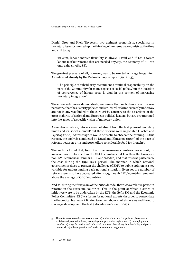Daniel Gros and Niels Thygesen, two eminent economists, specialists in monetary issues, summed up the thinking of numerous economists at the time and still today:

'In sum, labour market flexibility is always useful and if EMU forces labour market reforms that are needed anyway, the economy of EU can only gain' (1998:288).

The greatest pressure of all, however, was to be exerted on wage bargaining. As indicated already by the Padoa-Schioppa report (1987: 43),

'The principle of subsidiarity recommends minimal responsibility on the part of the Community for many aspects of social policy, but the question of convergence of labour costs is vital in the context of increasing monetary integration'.

These few references demonstrate, assuming that such demonstration was necessary, that the austerity policies and structural reforms currently underway are not in any way linked to the euro crisis, contrary to the assertions of the great majority of national and European political leaders, but are programmed into the genes of a specific vision of monetary union.

As mentioned above, reforms were not absent from the first phase of monetary union and its 'social moment' but these reforms were negotiated (Pochet and Fajertag 2000). At this stage, it would be useful to observe their timing. In this respect, the analysis conducted by Duval and Elmeskov (2005) of the pace of reforms between 1994 and 2004 offers considerable food for thought<sup>5</sup>.

The authors found that, first of all, the euro-zone countries carried out, on average, more reforms than the OECD countries but less than the European non-EMU countries (Denmark, UK and Sweden) and that this was particularly the case during the 1994-1999 period. The manner in which national governments chose to present the challenge of EMU to public opinion is a key variable for understanding each national situation. Even so, the number of reforms seems to have decreased after 1999, though EMU countries remained above the average of OECD countries.

And so, during the first years of the 2000 decade, there was a relative pause in reforms in the eurozone countries. This is the point at which a series of initiatives were to be undertaken by the ECB, the Ecfin DG and the Economic Policy Committee (EPC) (a forum for national experts) in order to consolidate the theoretical framework linking together labour markets, wages and the euro (on wage development the last 3 decades see Visser, 2013)

**<sup>5.</sup>** The reforms observed cover seven areas : a) active labour market policies ; b) taxes and social security contributions ; c) employment protection legislation ; d) unemployment benefits ; e) wage formation and industrial relations ; f) working time flexibility and parttime work; g) old-age pension and early retirement arrangements.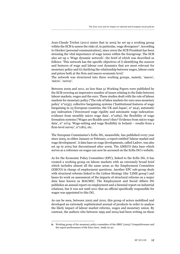Jean-Claude Trichet (2011) states that in 2005 he set up a working group within the ECB to assess the risks of, in particular, wage divergence<sup>6</sup>. According to Glocker (personal communication), since 2002 the ECB President has been stressing the vital importance of wage issues within the Eurogroup. The ECB also set up a 'Wage dynamic network', the brief of which was described as follows: 'This network has the specific objectives of i) identifying the sources and features of wage and labour cost dynamics that are most relevant for monetary policy and ii) clarifying the relationship between wages, labour costs and prices both at the firm and macro-economic level.'

The network was structured into three working groups, namely, 'macro', 'micro', 'survey'.

Between 2009 and 2011, no less than 51 Working Papers were published by the ECB covering an impressive number of issues relating to the links between labour markets, wages and the euro. These studies dealt with the role of labour markets for monetary policy ('The role of labor markets for euro area monetary policy' n°1035), collective bargaining systems ('Institutional features of wage bargaining in 23 European countries, the UK and Japan', n° 924), automatic pay indexation ('Downward wage rigidity and automatic wage indexation: evidence from monthly micro wage data', n°1269), the flexibility of wage formation systems ('Wages are flexible aren't they? Evidence from micro wage data', n° 1074; 'Wage-setting and wage flexibility in Ireland – results from a firm-level survey', n°1181), etc.

The European Commission's Ecfin DG, meanwhile, has published every year since 2005, in either January or February, a report entitled 'labour market and wage development'. A data base on wage developments, called Ladrev, was also set up in 2005 but discontinued after 2009. The AMECO data base which serves as a reference on wages can now be accessed on the Ecfin DG's website.

As for the Economic Policy Committee (EPC), linked to the Ecfin DG, it has created a working group on labour markets with an extremely broad brief which includes almost all the same areas as the Employment Committee (EMCO) in charge of employment questions. Another EPC sub-group deals with structural reforms linked to the Lisbon Strategy (the 'LIME group') and bases its work on assessment of the impacts of structural reforms on a major data base known as MACMIC. The Employment and Social Affairs DG publishes an annual report on employment and a biennial report on industrial relations, but it was not until 2011 that an official specifically responsible for wages was appointed to this DG.

As can be seen, between 2005 and 2010, this group of actors mobilized and developed an extremely sophisticated arsenal of products in order to analyse the likely impact of labour market reforms, wages and monetary union. By contrast, the authors who between 1995 and 2004 had been writing on these

**<sup>6.</sup>** Working group of the monetary policy committee of the SBEC (2005) 'Competitiveness and the export performance of the Euro Area', study no 30.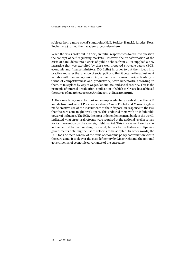subjects from a more 'social' standpoint (Hall, Soskice, Hancké, Rhodes, Ross, Pochet, etc.) turned their academic focus elsewhere.

When the crisis broke out in 2008, an initial response was to call into question the concept of self-regulating markets. However, the transformation of the crisis of bank debts into a crisis of public debt as from 2009 supplied a new narrative that was exploited by these well prepared strategic actors (ECB, economic and finance ministers, DG Ecfin) in order to put their ideas into practice and alter the function of social policy so that it became the adjustment variable within monetary union. Adjustments in the euro zone (particularly in terms of competitiveness and productivity) were henceforth, according to them, to take place by way of wages, labour law, and social security. This is the principle of internal devaluation, application of which to Greece has achieved the status of an archetype (see Armingeon. et Baccaro, 2012).

At the same time, one actor took on an unprecedentedly central role: the ECB and its two most recent Presidents – Jean-Claude Trichet and Mario Draghi – made creative use of the instruments at their disposal in response to the risk that the euro zone might break apart. This endowed them with an indubitable power of influence. The ECB, the most independent central bank in the world, indicated what structural reforms were required at the national level in return for its intervention on the sovereign debt market. This involvement went as far as the central banker sending, in secret, letters to the Italian and Spanish governments detailing the list of reforms to be adopted. In other words, the ECB took de facto control of the reins of economic policy coordination within the euro zone. It took over the post, left empty by Maastricht and the national governments, of economic governance of the euro zone.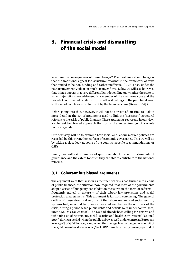### **3. Financial crisis and dismantling of the social model**

What are the consequences of these changes? The most important change is that the traditional appeal for 'structural reforms' in the framework of texts that tended to be non-binding and rather ineffectual (BEPG) has, under the new arrangements, taken on much stronger force. Below we will see, however, that things appear in a very different light depending on whether the state to which injunctions are addressed is a member of the euro zone core and the model of coordinated capitalism, or whether it belongs to the peripheral area, to the set of countries most hard-hit by the financial crisis (Regan, 2013).

Before going into this, however, it will not be a waste of our time to look in more detail at the set of arguments used to link the 'necessary' structural reforms to the crisis of public finances. These arguments represent, in our view, a coherent but biased approach that forms the underpinnings of a whole political agenda.

Our next step will be to examine how social and labour market policies are regarded by this strengthened form of economic governance. This we will do by taking a close look at some of the country-specific recommendations or CSRs.

Finally, we will ask a number of questions about the new instruments of governance and the extent to which they are able to contribute to the national reforms.

#### **3.1 Coherent but biased arguments**

The argument went that, insofar as the financial crisis had turned into a crisis of public finances, the situation now 'required' that most of the governments adopt a series of budgetary consolidation measures in the form of reforms – frequently radical in nature – of their labour law provisions and social protection arrangements. This argument is far from convincing. The general outline of these structural reforms of the labour market and social security systems had, in actual fact, been advocated well before the outbreak of the crisis, during a period when public debts and deficits were under control (see, *inter alia*, De Grauwe 2011). The EU had already been calling for 'reform and tightening up of retirement, social security and health care systems' (Council 2005) during a period when the public debt was well under control at European level (59% of GDP in 2007) and when the average level of budgetary deficit of the 27 EU member states was 0.9% of GDP. Finally, already during a period of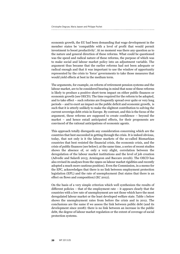economic growth, the EU had been demanding that wage development in the member states be 'compatible with a level of profit that would permit investment to boost productivity'. At no moment was there any question as to the nature and general direction of these reforms. What could be questioned was the speed and radical nature of these reforms, the purpose of which was to make social and labour market policy into an adjustment variable. The argument thus became that the earlier reforms had not been adequate or radical enough and that it was important to use the window of opportunity represented by the crisis to 'force' governments to take those measures that would yield effects at best in the medium term.

The arguments, for example, on reform of retirement pension systems and the labour market, are to be considered bearing in mind that none of these reforms is likely to produce a positive short-term impact on either public finances or economic growth (see OECD). The time required for the reform to be adopted, and to take effect – such reforms are frequently spread over quite or very long periods – and to exert an impact on the public deficit and economic growth, is such that it is utterly unlikely to make the slightest contribution to solving the current sovereign debt crisis in Europe. By contrast, and this is the focus of the argument, these reforms are supposed to create confidence – beyond the market – and hence entail anticipated effects, for their proponents are convinced of the rational anticipations of economic agents.

This approach totally disregards any consideration concerning which are the countries that best succeeded in getting through the crisis. It is indeed obvious, today, that not only is it the labour markets of the so-called Bismarkian countries that best resisted the financial crisis, the economic crisis, and the crisis of public finances (see below); at the same time, a series of recent studies shows the absence of, or only a very slight, correlation between the deregulation of the labour market institutions and the level of job creation (Advedic and Salardi 2013; Armingeon and Baccaro 2012b). The OECD has also revised its analyses from the 1990s on labour market rigidities and recently adopted a much more cautious position). Even the Commission, in a memo for the EPC, acknowledges that there is no link between employment protection legislation (EPL) and the rate of unemployment (but states that there is an effect on flows and composition) (EC 2012).

On the basis of a very simple criterion which well synthesizes the results of different policies – that of the employment rate – it appears clearly that the countries with a low rate of unemployment are not those which have the most deregulated labour market or the least developed welfare state. Table 1 below shows the unemployment rates from before the crisis and in 2012. The conclusions are the same if we assess the link between public debt (and its development since 2008): there is no link between an increase in the public debt, the degree of labour market regulation or the extent of coverage of social protection systems.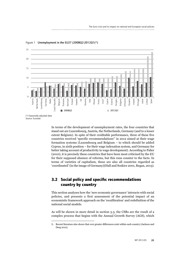

Figure 1 Unemployment in the EU27 (2008Q2-2012Q1(\*)

In terms of the development of unemployment rates, the four countries that stand out are Luxembourg, Austria, the Netherlands, Germany (and to a lesser extent Belgium). In spite of their creditable performance, three of these five countries received 'specific recommendations<sup>7</sup> in 2012 aimed at their wage formation systems (Luxembourg and Belgium – to which should be added Cyprus, in sixth position – for their wage indexation system, and Germany for better taking account of productivity in wage development). According to Palier (2010), it is precisely these countries that have been most criticized by the EU for their supposed absence of reforms, but this runs counter to the facts. In terms of varieties of capitalism, these are also all countries regarded as 'coordinated' (in the image of Germany)(Hall and Soskice 2001, Regan, 2013).

### **3.2 Social policy and specific recommendations country by country**

This section analyses how the 'new economic governance' interacts with social policies, and presents a first assessment of the potential impact of an economistic framework approach on the 'recalibration' and redefinition of the national social models.

As will be shown in more detail in section 3.3, the CSRs are the result of a complex process that begins with the Annual Growth Survey (AGS), which

**<sup>7.</sup>** Recent literature also shows that ever greater differences exist within each country (Jackson and Deeg 2012).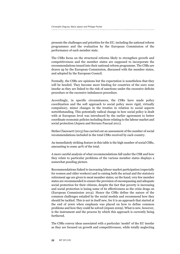presents the challenges and priorities for the EU, including the national reform programmes and the evaluation by the European Commission of the performance of each member state.

The CSRs focus on the structural reforms likely to strengthen growth and competitiveness and the member states are supposed to incorporate the recommendations issued into their national reform programme. The CSRs are drawn up by the European Commission, discussed with the member states, and adopted by the European Council.

Formally, the CSRs are opinions but the expectation is nonetheless that they will be heeded. They become more binding for countries of the euro zone insofar as they are linked to the risk of sanctions under the excessive deficits procedure or the excessive imbalances procedure.

Accordingly, in specific circumstances, the CSRs have made policy coordination and the soft approach to social policy more rigid, virtually compulsory, minor changes in the treaties in relation to social aspects notwithstanding. This potentially radical change in how social policy is dealt with at European level was introduced by the earlier agreement to better coordinate economic policies including those relating to the labour market and social protection (Jepsen and Serrano Pascual 2011).

Stefan Clauwaert (2013) has carried out an assessment of the number of social recommendations included in the total CSRs received by each country.

An immediately striking feature in this table is the high number of social CSRs, amounting to some 40% of the total.

A more careful analysis of what recommendations fall under the CSR and how they relate to particular problems of the various member states displays a somewhat puzzling picture.

Recommendations linked to increasing labour market participation (especially for women and older workers) and to raising both the actual and the statutory retirement age are given to most member states; on the hand, very few member states are recommended to ensure the provision of encompassing and adequate social protection for their citizens, despite the fact that poverty is increasing and social protection is losing some of its effectiveness as the crisis drags on (European Commission 2013). Hence the CSRs define the nature of the common challenges entailed by the social models and recommend how they should be tackled. This is not in itself new, for it is an approach that started at the end of 2000 when emphasis was placed on how to define common problems and how they could be solved (Jepsen 2009). What is new, however, is the instrument and the process by which this approach is currently being furthered.

The CSRs convey ideas associated with a particular 'model' of the EU insofar as they are focused on growth and competitiveness, while totally neglecting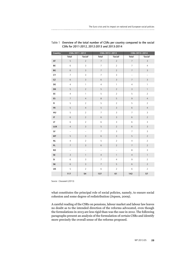| Country    |                          | CSRs 2011-2012           |                          | CSRs 2012-2013    |                          | CSRs 2013-2014      |  |  |
|------------|--------------------------|--------------------------|--------------------------|-------------------|--------------------------|---------------------|--|--|
|            | <b>Total</b>             | 'Social'                 | <b>Total</b>             | 'Social'          | Total                    | 'Social'            |  |  |
| AT         | 5                        | $\overline{2}$           | $\overline{7}$           | $\overline{2}$    | $\overline{7}$           | $\overline{3}$      |  |  |
| BE         | 6                        | $\overline{3}$           | $\overline{7}$           | $\overline{2}$    | $\overline{7}$           | $\overline{4}$      |  |  |
| BG         | $6\,$                    | $\mathsf{3}$             | $\overline{7}$           | $\overline{2}$    | $\overline{\phantom{a}}$ | $\mathsf{3}$        |  |  |
| CY         | $\overline{7}$           | $\mathsf{3}$             | $\overline{7}$           | $\overline{3}$    | $\bar{\phantom{a}}$      | $\bar{\phantom{a}}$ |  |  |
| CZ         | $6\,$                    | $\mathsf 3$              | $6\,$                    | $\mathsf{3}$      | $\overline{7}$           | $\mathsf{3}$        |  |  |
| DE         | $\overline{4}$           | $\mathbf{1}$             | $\overline{4}$           | $\mathbf{1}$      | $\overline{4}$           | $\mathbf{1}$        |  |  |
| <b>DK</b>  | 5                        | $\sqrt{2}$               | $\sqrt{5}$               | $\overline{2}$    | 3                        | $\mathbf{1}$        |  |  |
| EE.        | $\overline{4}$           | $\mathbbm{1}$            | 5                        | $\overline{2}$    | 5                        | $\overline{2}$      |  |  |
| ES         | $\overline{\phantom{a}}$ | $\overline{4}$           | $\,8\,$                  | $\mathsf S$       | $\mathsf g$              | $\overline{4}$      |  |  |
| FI.        | 5                        | $\overline{2}$           | 5                        | $\overline{2}$    | 5                        | $\overline{2}$      |  |  |
| <b>FR</b>  | 5                        | $\overline{4}$           | 5                        | $\overline{3}$    | $\,$ 6 $\,$              | $\overline{4}$      |  |  |
| HU         | 5                        | $\overline{2}$           | $\overline{7}$           | $\mathsf{3}$      | $\overline{7}$           | 3                   |  |  |
| IT.        | $6\phantom{.}$           | $\overline{2}$           | $6\,$                    | $\overline{3}$    | 6                        | $\overline{2}$      |  |  |
| LT         | 6                        | $\overline{2}$           | 6                        | $\mathsf{3}$      | 6                        | 3                   |  |  |
| <b>LUX</b> | $\overline{4}$           | $\mathsf 3$              | $\overline{5}$           | $\sqrt{2}$        | $\,$ 6 $\,$              | $\mathsf{3}$        |  |  |
| LV         | $\overline{\phantom{a}}$ | $\overline{\phantom{a}}$ | $\overline{7}$           | $\overline{3}$    | $\overline{7}$           | 3                   |  |  |
| MT         | 5                        | $\mathsf{3}$             | $\,$ 6 $\,$              | $\mathsf{3}$      | 5                        | $\overline{2}$      |  |  |
| <b>NL</b>  | $\overline{4}$           | $\overline{2}$           | 5                        | $\overline{2}$    | $\overline{4}$           | $\overline{2}$      |  |  |
| PL         | $\overline{7}$           | $\overline{3}$           | 6                        | $\overline{2}$    | $\overline{7}$           | $\overline{2}$      |  |  |
| RO         | $\overline{\phantom{a}}$ | $\overline{\phantom{0}}$ | $\overline{\phantom{a}}$ | $\qquad \qquad -$ | $\,8\,$                  | $\mathsf{3}$        |  |  |
| <b>SE</b>  | $\overline{3}$           | $\mathbf{1}$             | $\overline{4}$           | $\mathbf{1}$      | $\overline{4}$           | $\mathbf{1}$        |  |  |
| SI         | 6                        | $\mathsf{3}$             | $\overline{7}$           | $\overline{4}$    | 9                        | $\overline{2}$      |  |  |
| SK         | $6\,$                    | $\mathsf{3}$             | $\overline{\phantom{a}}$ | 5                 | $\,$ 6 $\,$              | $\overline{2}$      |  |  |
| UK         | 5                        | $\overline{2}$           | 6                        | $\overline{2}$    | 6                        | $\overline{2}$      |  |  |
|            | 117                      | 54                       | 137                      | 61                | 142                      | 57                  |  |  |

#### Table 1 Overview of the total number of CSRs per country compared to the social CSRs for 2011-2012, 2012-2013 and 2013-2014

Source : Clauwaert (2013)

what constitutes the principal role of social policies, namely, to ensure social cohesion and some degree of redistribution (Jepsen, 2009).

A careful reading of the CSRs on pensions, labour market and labour law leaves no doubt as to the intended direction of the reforms advocated, even though the formulations in 2013 are less rigid than was the case in 2012. The following paragraphs present an analysis of the formulation of certain CSRs and identify more precisely the overall sense of the reforms proposed.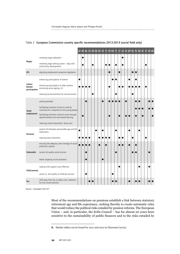|                                   |                                                                                            |   |  |  |  |  |  |  |  |  |  |  | AT BE BG CZ DE DK EE ES FI FR HU IT LT LU LV MT NL PL RO SE SI SK UK |  |
|-----------------------------------|--------------------------------------------------------------------------------------------|---|--|--|--|--|--|--|--|--|--|--|----------------------------------------------------------------------|--|
|                                   | reviewing wage indexation                                                                  |   |  |  |  |  |  |  |  |  |  |  |                                                                      |  |
| <b>Wages</b>                      | reviewing wage-setting system - align with<br>productivity developments                    |   |  |  |  |  |  |  |  |  |  |  |                                                                      |  |
| <b>EPL</b>                        | adjusting employment protection legislation                                                |   |  |  |  |  |  |  |  |  |  |  |                                                                      |  |
|                                   | enhancing participation of women                                                           | O |  |  |  |  |  |  |  |  |  |  |                                                                      |  |
| Labour<br>Market<br>participation | enhancing participation of older workers,<br>promoting active ageing, LLL                  |   |  |  |  |  |  |  |  |  |  |  |                                                                      |  |
|                                   | reducing tax disincentives for second earners                                              |   |  |  |  |  |  |  |  |  |  |  |                                                                      |  |
|                                   | youth guarantee                                                                            |   |  |  |  |  |  |  |  |  |  |  |                                                                      |  |
| Youth                             | facilitating transition school to work by<br>incentives for companies to hire young people |   |  |  |  |  |  |  |  |  |  |  |                                                                      |  |
| employment                        | facilitating transition school to work through<br>apprenticeships and work-based learning  |   |  |  |  |  |  |  |  |  |  |  |                                                                      |  |
|                                   | reducing school/education 'drop outs'                                                      |   |  |  |  |  |  |  |  |  |  |  |                                                                      |  |
| <b>Pensions</b>                   | explicit link between pensionable age and life<br>expectancy                               |   |  |  |  |  |  |  |  |  |  |  |                                                                      |  |
|                                   | reducing early retirement                                                                  |   |  |  |  |  |  |  |  |  |  |  |                                                                      |  |
|                                   | ensuring the adequacy and coverage of social<br>protection systems                         |   |  |  |  |  |  |  |  |  |  |  |                                                                      |  |
| <b>Vulnerable</b>                 | (access to) quality social services                                                        |   |  |  |  |  |  |  |  |  |  |  |                                                                      |  |
|                                   | better targeting social assistance                                                         |   |  |  |  |  |  |  |  |  |  |  |                                                                      |  |
| <b>Child poverty</b>              | making child support more effective                                                        |   |  |  |  |  |  |  |  |  |  |  |                                                                      |  |
|                                   | access to and quality of childcare services                                                |   |  |  |  |  |  |  |  |  |  |  |                                                                      |  |
| Tax                               | shift away from tax on labour (incl. attention<br>for low income earners)                  |   |  |  |  |  |  |  |  |  |  |  |                                                                      |  |

#### Table 2 European Commission country specific recommendations 2013-2014 (social field only)

Source : Clauwaert (2013)<sup>8</sup>

Most of the recommendations on pensions establish a link between statutory retirement age and life expectancy, seeking thereby to create automatic rules that would reduce the political risks entailed by pension reforms. The European Union – and, in particular, the Ecfin Council – has for almost 20 years been sensitive to the sustainability of public finances and to the risks entailed by

**<sup>8.</sup>** Similar tables can be found for 2011 and 2012 in Clauwaert (2013).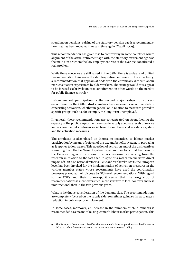spending on pensions; raising of the statutory pension age is a recommendation that has been repeated time and time again (Natali 2009).

This recommendation has given rise to controversy in some countries where alignment of the actual retirement age with the statutory retirement age was the main aim or where the low employment rate of the over 55s constituted a real problem.

While these concerns are still raised in the CSRs, there is a clear and unified recommendation to increase the statutory retirement age with life expectancy, a recommendation that appears at odds with the chronically difficult labour market situation experienced by older workers. The strategy would thus appear to be focused exclusively on cost containment, in other words on the need to for public finance controls9.

Labour market participation is the second major subject of concern encountered in the CSRs. Most countries have received a recommendation concerning activation, whether in general or in relation to measures geared to specific groups such as, for example, the long-term unemployed.

In general, these recommendations are concentrated on strengthening the capacity of the public employment services to supply adequate levels of service and also on the links between social benefits and the social assistance system and the activation measures.

The emphasis is also placed on increasing incentives to labour market participation by means of reform of the tax and benefits system, in particular as it applies to low wages. This question of activation and of the disincentives stemming from the tax/benefit system is yet another topic that has been on the European agenda for a long time. A consensus is emerging from the research in relation to the fact that, in spite of a rather inconclusive direct impact of OMCs on national reforms (Lelie and Vanhercke 2013), the European level has been invoked for the implementation of activation measures in the various member states whose governments have used the coordination processes placed at their disposal by EU-level recommendations. With regard to the CSRs and their follow-up, it seems that the 2013 crop of recommendations is more diversified, more sensitive to local contexts and less unidirectional than in the two previous years.

What is lacking is consideration of the demand side. The recommendations are completely focused on the supply side, sometimes going so far as to urge a reduction in public sector employment.

In some cases, moreover, an increase in the numbers of child-minders is recommended as a means of raising women's labour market participation. This

**<sup>9.</sup>** The European Commission classifies the recommendations on pensions and health care as linked to public finances and not to the labour market or to social policy.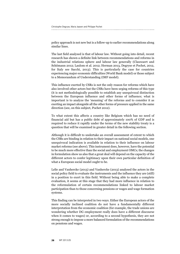Christophe Degryse, Maria Jepsen and Philippe Pochet 

policy approach is not new but is a follow-up to earlier recommendations along similar lines.

The last field analysed is that of labour law. Without going into detail, recent research has shown a definite link between recommendations and reforms in the industrial relations sphere and labour law generally (Clauwaert and Schömann 2012; Laulom et al. 2012; Herman 2013, Degryse et Pochet, 2012, for Italy see Sacchi, 2013). This is particularly the case for countries experiencing major economic difficulties (World Bank model) or those subject to a Memorandum of Understanding (IMF model).

This influence exerted by CSRs is not the only reason for reforms which have also involved other actors but the CSRs have been urging reforms of this type (it is not methodologically possible to establish any unequivocal distinction between the European influence and other forms of influence; what is important is to analyze the 'meaning' of the reforms and to consider it as exerting an impact alongside all the other forms of pressure applied in the same direction (see, on this subject, Pochet 2012).

To what extent this affects a country like Belgium which has no need of financial aid but has a public debt of approximately 100% of GDP and is required to reduce it rapidly under the terms of the new stability treaty is a question that will be examined in greater detail in the following section.

Although it is difficult to undertake an overall assessment of extent to which the CSRs are binding in relation to their impact on national social models, one unequivocal indication is available in relation to their influence on labour market reforms (see above). This instrument does, however, have the potential to be much more effective than the social and employment OMCs; the changes in formulation show us also that a great deal will depend on the capacity of the different actors to confer legitimacy upon their own particular definition of what a European social model ought to be.

Lelie and Vanhercke (2013) and Vanhercke (2013) analysed the actors in the social policy field to evaluate the instruments and the influence they are (still) in a position to exert in this field. Without being able to make a complete evaluation, it seems at this stage that they had more influence in relation to the reformulation of certain recommendations linked to labour market participation than to those concerning pensions or wages and wage formation systems.

This finding can be interpreted in two ways. Either the European actors of the more socially inclined coalition do not have a fundamentally different interpretation from the economic coalition (for example, the trade unions are wondering whether DG employment really does have a different discourse when it comes to wages) or, according to a second hypothesis, they are not strong enough to impose a more balanced formulation of the recommendations on pensions and wages.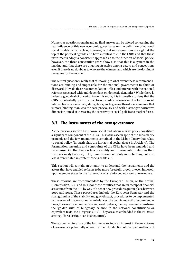Numerous questions remain and no final answer can be offered concerning the real influence of this new economic governance on the definition of national social models; what is clear, however, is that social questions are right at the top of the political agenda and have a central role in the CSRs and that these instruments adopt a consistent approach as to the function of social policy; however, the three consecutive years show also that this is a system in the making and that there are ongoing struggles among actors and conceptions even if there is no doubt as to who are the winners and which are the dominant messages for the moment.

The central question is really that of knowing to what extent these recommendations are binding and impossible for the national governments to elude or disregard. How do these recommendations affect and interact with the national reforms associated with and dependent on domestic dynamics? While there is indeed a good deal of uncertainty on this score, it is impossible to deny that the CSRs do potentially open up a road to more radical reforms and to a form of social interventionism – inevitably deregulatory in its general thrust – in a manner that is more binding than was the case previously and with a stronger normative dimension aimed at increasing the sensitivity of social policies to market forces.

#### **3.3 The instruments of the new governance**

As the previous section has shown, social and labour market policy constitute a significant component of the CSRs. This is the case in spite of the subsidiarity principle and the few amendments contained in the Lisbon Treaty that relate to social policy (in particular, the horizontal social clause in Article 9). The formulation, meaning and constraints of the CSRs have been amended and harmonized (so that there is less possibility for differing interpretations than was previously the case). They have become not only more binding but also less differentiated in content: 'one size fits all'.

This section will contain an attempt to understand the instruments and the actors that have enabled reforms to be more forcefully urged, or even imposed, upon member states in the framework of a reinforced economic governance.

These reforms are 'recommended' by the European Union, or the 'troika' (Commission, ECB and IMF) for those countries that are in receipt of financial assistance from the EU, by way of a set of new procedures put in place between 2010 and 2012. These procedures include the European Semester and the strengthening of the stability and growth pact, procedures to be implemented in the event of macroeconomic imbalances, the country-specific recommendations, the ex-ante surveillance of national budgets, the requirement to enshrine the 'golden rule' of budgetary balance in the national constitutions or equivalent texts, etc. (Degryse 2012). They are also embedded in the EU 2020 strategy (for a critique see Pochet, 2010).

The academic literature of the last ten years took an interest in the new forms of governance potentially offered by the introduction of the open methods of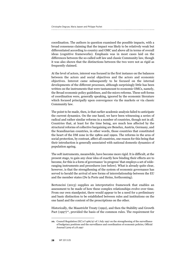coordination. The authors in question examined the possible impacts, with a broad consensus claiming that the impact was likely to be relatively weak but differentiated according to country and OMC and above all in terms of overall ideas (cognitive frameworks). Emphasis was in most cases laid on the differences between the so-called soft law and classic Community law, though it was also shown that the distinctions between the two were not as rigid as frequently claimed.

At the level of actors, interest was focused in the first instance on the balances between the actors and social objectives and the actors and economic objectives. Interest came subsequently to be focused on the internal developments of the different processes, although surprisingly little has been written on the instruments that were tantamount to economic OMCs, namely, the Broad economic policy guidelines, and the micro reforms. These soft forms of coordination were, generally speaking, ignored by the economic literature which focused principally upon convergence via the markets or via classic Community law.

The point to be made, then, is that earlier academic analysis failed to anticipate the current dynamics. On the one hand, we have been witnessing a series of radical and rather similar reforms in a number of countries, though not in all. Countries that, at least for the time being, are much less affected by the structural reforms of collective bargaining are Benelux, Austria, Germany, and the Scandinavian countries, in other words, those countries that constituted the heart of the DM zone in the 1980s and 1990s. The reforms in the area of social protection, by contrast, affect all countries, one reason for this being that their introduction is generally associated with national domestic dynamics of population ageing.

The soft instruments, meanwhile, have become more rigid. It is difficult, at the present stage, to gain any clear idea of exactly how binding their effects are to become, for this is a form of governance 'in progress' that employs a set of wideranging instruments and procedures (see below). What is already quite clear, however, is that the strengthening of the system of economic governance has served to herald the arrival of new forms of interrelationship between the EU and the member states (De la Porte and Heins, forthcoming).

Bertoncini (2013) supplies an interpretative framework that enables an assessment to be made of how these complex relationships evolve over time. From our own standpoint, there would appear to be a need for a preliminary and basic distinction to be established between rules and institutions on the one hand and the content of the prescriptions on the other.

Historically, the Maastricht Treaty (1992), and then the Stability and Growth Pact  $(1997)^{10}$ , provided the basis of the common rules. The requirement for

**<sup>10.</sup>** Council Regulation (EC) n°1466/97 of 7 July 1997 on the strengthening of the surveillance of budgetary positions and the surveillance and coordination of economic policies, Official Journal L209 of 2.8.1997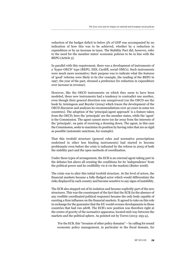reduction of the budget deficit to below 3% of GDP was accompanied by no indication of how this was to be achieved, whether by a reduction in expenditure or by an increase in taxes. The Stability Pact did, however, refer to the need for the member states' economic policies to be in line with the BEPG (Article 5).

In parallel with this requirement, there was a development of instruments of a 'hyper-OECD' type (BEPG, EES, Cardiff, social OMCs). Such instruments were much more normative; their purpose was to indicate what the features of 'good' reforms were likely to be (for example, the reading of the BEPG in 1997, the year of the pact, stressed a preference for reduction in expenditure over increase in revenue).

However, like the OECD instruments on which they seem to have been modeled, these new instruments had a tendency to contradict one another, even though their general direction was unequivocal (on the OECD see the book by Armingeon and Beyeler (2004) which traces the development of the OECD discourse and analyses its recommendations over 40 years in some ten countries). The adoption of the 'principal/agent approach' is a feature taken from the OECD; here the 'principals' are the member states, while the 'agent' is the Commission. The agent cannot move too far away from the interests of the 'principals', on pain of receiving a dressing down. The agent, in this case the Commission, seeks to maximize its position by having rules that are as rigid as possible (automatic sanctions, for example).

That this twofold structure (general rules and normative prescriptions enshrined in other less binding instruments) had started to become problematic even before the crisis is indicated by the reform in 2005 of both the stability pact and the open methods of coordination.

Under these types of arrangement, the ECB is an external agent taking part in the debates but above all creating the conditions for its 'independence' from the political power and its credibility vis-à-vis the markets (Buiter 2008).

The crisis was to alter this initial twofold structure. At the level of actors, the financial markets became a fully-fledged actor which would differentiate the risks displayed by each country and become sensitive to any signs of instability.

The ECB also stepped out of its isolation and became explicitly part of the new structures. This was the counterpart of the fact that the ECB (in the absence of any credible coordinated political response) became the only body capable of exerting a firm influence on the financial markets. It agreed to take on this role in exchange for the guarantee that the EU would oversee developments in those countries that had run adrift. The ECB's new position was therefore right at the centre of gravity of the normative apparatus, located mid-way between the markets and the political sphere. As pointed out by Torres (2013: 293-4),

'For the ECB, this "invasion of other policy domains" – by calling for sound economic policy management, in particular in the fiscal domain, for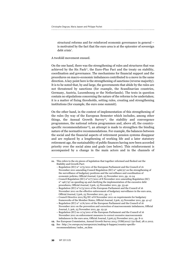structural reforms and for reinforced economic governance in general – is motivated by the fact that the euro area is at the epicenter of sovereign debt crisis'.

A twofold movement ensued.

On the one hand, there was the strengthening of rules and structures that was achieved by the Six Pack<sup>11</sup>, the Euro-Plus Pact and the treaty on stability, coordination and governance. The mechanisms for financial support and the procedures on macro-economic imbalances contributed to a move in the same direction. A key point here is the strengthening of sanctions (reverse majority). It is to be noted that, by and large, the governments that abide by the rules are not threatened by sanctions (for example, the Scandinavian countries, Germany, Austria, Luxembourg or the Netherlands). The texts in question contain no stipulations concerning the nature of the reforms to be undertaken; it is a matter of fixing thresholds, setting rules, creating and strengthening institutions (for example, the euro zone summit).

On the other hand, in the context of implementation of this strengthening of the rules (by way of the European Semester which includes, among other things, the Annual Growth Survey<sup>12</sup>, the stability and convergence programmes, the national reform programmes and, above all, the countryspecific recommendations<sup>13</sup>), an attempt is made to strengthen the binding nature of the normative recommendations. For example, the balances between the social and the financial aspects of retirement pension systems disappear and are replaced by a lengthening of working life and a later statutory retirement age, the sustainability of public finances having now been accorded priority over the social aims and goals (see below). This reinforcement is accompanied by a change in the main actors and in the channels of

**<sup>11.</sup>** This refers to the six pieces of legislation that together reformed and fleshed out the Stability and Growth Pact:

<sup>–</sup> Regulation (EU) n° 1175/2011 of the European Parliament and the Council of 16 November 2011 amending Council Regulation (EC) n° 1466/97 on the strengthening of the surveillance of budgetary positions and the surveillance and coordination of economic policies, Official Journal, L306, 23 November 2011, pp. 12-24

<sup>–</sup> Council Regulation (EU) n°1177/2011 of 8 November 2011 amending Regulation (EC) n° 1467/97 on speeding up and clarifying the implementation of the excessive debt procedures, Official Journal, L306, 23 November 2011, pp. 33-40

<sup>–</sup> Regulation (EU) n°1173/2011 of the European Parliament and the Council of 16 November 2011 on the effective enforcement of budgetary surveillance in the euro area, Official Journal, L306, 23 November 2011, pp. 1-7

<sup>–</sup> Council Directive 2011/85/EU of 8 November 2011 on requirements for budgetary frameworks of the Member States, Official Journal, L306, 23 November 2011, pp. 41-47

<sup>–</sup> Regulation (EU) n° 1176/2011 of the European Parliament and the Council of 16 November 2011 on the prevention and correction of macroeconomic imbalances, Official Journal, L 306, 23 November 2011, pp. 25-32

<sup>–</sup> Regulation (EU) no 1174/2011 of the European Parliament and the Council of 16 November 2011 on enforcement measures to correct excessive macroeconomic imbalances in the euro area, Official Journal, L306,23 November 2011, pp. 8-11

**<sup>12.</sup>** See European Commission, Annual Growth Survey 2013, COM(2012) 750 final, 28.11.2012.

**<sup>13.</sup>** See : http://ec.europa.eu/europe2020/making-it-happen/country-specificrecommendations/ index\_en.htm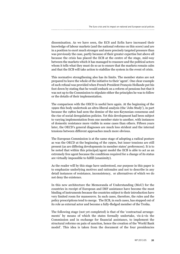dissemination. As we have seen, the ECS and Ecfin have increased their knowledge of labour markets (and the national reforms on this score) and are in a position to exert much stronger and more precisely targeted pressure than was previously the case, partly because of their greater expertise but above all because the crisis has placed the ECB at the centre of the stage, mid-way between the markets which it has managed to reassure and the political actors whom it tells what they must do so as to ensure that the markets remain calm and that the ECB will take action to stabilize the system in the event of crisis.

This normative strengthening also has its limits. The member states are not prepared to leave the whole of the initiative to their 'agent'. One clear example of such refusal was provided when French President François Hollande put his foot down by stating that he would embark on a reform of pensions but that it was not up to the Commission to stipulate either the principles he was to follow or the details of their implementation.

The comparison with the OECD is useful here again. At the beginning of the 1990s this body undertook an ultra-liberal analysis (the 'Jobs Study'), in part because the 1980s had seen the demise of the neo-Keynesian consensus and the rise of social deregulation policies. Yet this development had been subject to varying implementation from one member state to another, with instances of domestic resistance more visible in some cases than others. Fifteen years later, the OECD's general diagnoses are much less strident and the internal tensions between different approaches much more obvious.

The European Commission is at the same stage of adopting a radical posture as was the OECD at the beginning of the 1990s, but inner tensions are still present (as are differing developments in member states' preferences). It is to be noted that within this principal/agent model the ECB is able to act as an extremely free agent because the conditions required for a change of its status are virtually impossible to fulfill (unanimity).

As the reader will by this stage have understood, our purpose in this paper is to emphasize underlying motives and rationales and not to describe in any detail instances of resistance, inconsistency, or alternatives of which we do not deny the existence.

In this new architecture the Memoranda of Understanding (MoU) for the countries in receipt of European and IMF assistance have become the most binding of instruments because the countries subject to their introduction have very limited room for manoeuvre. In such cases, therefore, the rules and the policy prescriptions tend to merge. The ECB, in such cases, has stepped out of its role as external actor and become a fully-fledged member of the Troika.

The following stage (not yet completed) is that of the 'contractual arrangements' by means of which the states formally undertake, vis-à-vis the Commission and in exchange for financial assistance, to implement the structural reforms on pain of sanction, hence the creation of the 'World Bank model'. This idea is taken from the document of the four presidencies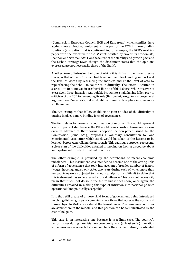(Commission, European Council, ECB and Eurogroup) which signifies, here again, a more direct commitment on the part of the ECB in more binding solutions (a situation that is confirmed in, for example, the ECB's working paper with the evocative title *Just Facts* written by two of its economists, Ioannou and Stracca (2011), on the failure of the stability and growth pact and the Lisbon Strategy (even though the disclaimer states that the opinions expressed are not necessarily those of the Bank).

Another form of intrusion, but one of which it is difficult to uncover precise traces, is that of the ECB which had taken on the role of lending support – at the level of words by reassuring the markets and at the level of acts by repurchasing the debt – to countries in difficulty. The letters – written in secret! – to Italy and Spain are the visible tip of this iceberg. While this type of excessively direct intrusion was quickly brought to a halt, having fallen prey to criticism of the ECB for exceeding its role (Bertoncini, 2013; for a more general argument see Buiter 2008), it no doubt continues to take place in some more subtle manner.

The two examples that follow enable us to gain an idea of the difficulty of putting in place a more binding form of governance.

The first relates to the ex- ante coordination of reforms. This would represent a very important step because the EU would be in a position to oversee reforms even in advance of their formal adoption. A non-paper issued by the Commission (June 2013) proposes a voluntary consultation for one experimental year, after which stock would be taken of the lessons to be learned, before generalizing the approach. This cautious approach represents a clear sign of the difficulties entailed in moving on from a discourse about anticipating reforms to formalized practices.

The other example is provided by the scoreboard of macro-economic imbalances. This instrument was intended to become one of the strong links of a form of governance that took into account a broader number of factors (wages, housing, and so on). After two years during each of which more than ten countries were subjected to in-depth analysis, it is difficult to claim that this instrument has so far exerted any real influence. This does not necessarily mean that it will not do so in the future but it does show, once again, the difficulties entailed in making this type of intrusion into national policies operational (and politically acceptable).

It is thus still a case of a more rigid form of government being introduced involving distinct groups of countries where those that observe the norms and those subject to MoU are located at the two extremes. The remaining countries are somewhere in the middle, and this position can be well illustrated by the case of Belgium.

This case is an interesting one because it is a limit case. The country's performances during the crisis have been pretty good (at least so far) in relation to the European average, but it is undoubtedly the most centralized/coordinated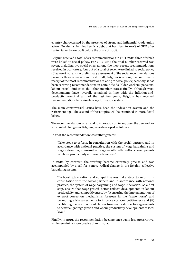country characterized by the presence of strong and influential trade union actors. Belgium's Achilles heel is a debt that has risen to 100% of GDP after having fallen below 90% before the crisis of 2008.

Belgium received a total of six recommendations in 2011-2012, three of which were linked to social policy. For 2012-2013 the total number received was seven, including two social ones; among the most recent recommendations received in 2013-2014, four out of a total of seven were linked to social policy (Clauwaert 2013: 4). A preliminary assessment of the social recommendations prompts three observations: first of all, Belgium is among the countries in receipt of the most recommendations relating to social policy; secondly, it has been receiving recommendations in certain fields (older workers, pensions, labour costs) similar to the other member states; finally, although wage developments have, overall, remained in line with the inflation-andproductivity-neutral aim of the last ten years, Belgium has received recommendations to revise its wage formation system.

The main controversial issues have been the indexation system and the retirement age. The second of these topics will be examined in more detail below.

The recommendations on an end to indexation or, in any case, the demand for substantial changes in Belgium, have developed as follows:

In 2011 the recommendation was rather general:

'Take steps to reform, in consultation with the social partners and in accordance with national practice, the system of wage bargaining and wage indexation, to ensure that wage growth better reflects developments in labour productivity and competitiveness.'

In 2012, by contrast, the wording became extremely precise and was accompanied by a call for a more radical change in the Belgian collective bargaining system.

'To boost job creation and competitiveness, take steps to reform, in consultation with the social partners and in accordance with national practice, the system of wage bargaining and wage indexation. As a first step, ensure that wage growth better reflects developments in labour productivity and competitiveness, by (i) ensuring the implementation of ex post correction mechanisms foreseen in the "wage norm" and promoting all-in agreements to improve cost-competitiveness and (ii) facilitating the use of opt-out clauses from sectoral collective agreements to better align wage growth and labour productivity developments at local level.'

Finally, in 2013, the recommendation became once again less prescriptive, while remaining more precise than in 2011: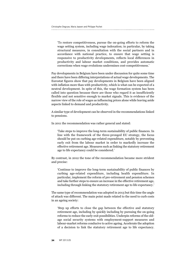'To restore competitiveness, pursue the on-going efforts to reform the wage setting system, including wage indexation; in particular, by taking structural measures, in consultation with the social partners and in accordance with national practice, to ensure that wage setting is responsive to productivity developments, reflects local differences in productivity and labour market conditions, and provides automatic corrections when wage evolutions undermines cost-competitiveness.'

Pay developments in Belgium have been under discussion for quite some time and there have been differing interpretations of actual wage developments. The Eurostat figures show that pay developments in Belgium have been aligned with inflation more than with productivity, which is what can be expected of a neutral development. In spite of this, the wage formation system has been called into question because there are those who regard it as insufficiently flexible and not sensitive enough to market signals. This is evidence of the narrow view of the role of wages as influencing prices alone while leaving aside aspects linked to demand and productivity.

A similar type of development can be observed in the recommendations linked to pensions.

In 2011 the recommendation was rather general and stated:

'Take steps to improve the long-term sustainability of public finances. In line with the framework of the three-pronged EU strategy, the focus should be put on curbing age-related expenditure, notably by preventing early exit from the labour market in order to markedly increase the effective retirement age. Measures such as linking the statutory retirement age to life expectancy could be considered.'

By contrast, in 2012 the tone of the recommendation became more strident and precise:

'Continue to improve the long-term sustainability of public finances by curbing age-related expenditure, including health expenditure. In particular, implement the reform of pre-retirement and pension schemes and take further steps to ensure an increase in the effective retirement age, including through linking the statutory retirement age to life expectancy.'

The same type of recommendation was adopted in 2013 but this time the angle of attack was different. The main point made related to the need to curb costs in an ageing society:

'Step up efforts to close the gap between the effective and statutory retirement age, including by quickly including by pursuing the on-going reforms to reduce the early-exit possibilities. Underpin reforms of the oldage social security systems with employment-support measures and labour-market reforms conducive to active ageing. Accelerate the adoption of a decision to link the statutory retirement age to life expectancy.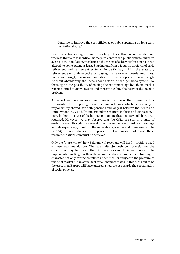Continue to improve the cost-efficiency of public spending on long term institutional care.'

One observation emerges from the reading of these three recommendations: whereas their aim is identical, namely, to contain the public deficits linked to ageing of the population, the focus on the means of achieving this aim has been altered, to some extent at least. Starting out from a focus on a reform of early retirement and retirement systems, in particular, linking the statutory retirement age to life expectancy (basing this reform on pre-defined rules) (2012 and 2013), the recommendation of 2013 adopts a different angle (without abandoning the ideas about reform of the pensions system) by focusing on the possibility of raising the retirement age by labour market reforms aimed at active ageing and thereby tackling the heart of the Belgian problem.

An aspect we have not examined here is the role of the different actors responsible for preparing these recommendations which is normally a responsibility shared (for both pensions and wages) between the EcFin and Employment DGs. To fully understand the changes in focus and expression, a more in-depth analysis of the interactions among these actors would have been required. However, we may observe that the CSRs are still in a state of evolution even though the general direction remains – to link statutory age and life expectancy, to reform the indexation system – and there seems to be in 2013 a more diversified approach to the question of 'how' these recommendations can/must be achieved.

Only the future will tell how Belgium will react and will heed – or fail to heed – these recommendations. They are quite obviously controversial and the conclusion may be drawn that if these reforms do indeed come to be implemented in Belgium then the recommendations are de facto binding in character not only for the countries under MoU or subject to the pressure of financial market but in actual fact for all member states. If this turns out to be the case, then Europe will have entered a new era as regards the coordination of social policies.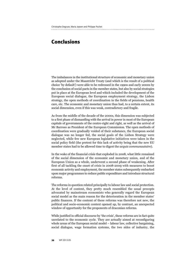### **Conclusions**

The imbalances in the institutional structure of economic and monetary union as adopted under the Maastricht Treaty (and which is the result of a political choice 'by default') were able to be redressed in the 1990s and early 2000s by the conclusion of social pacts in the member states, but also by social strategies put in place at the European level and which included the development of the European social dialogue, the European employment strategy, the Lisbon strategy, the open methods of coordination in the fields of pensions, health care, etc. The economic and monetary union thus had, to a certain extent, its social dimension, even if this was weak, contradictory and fragile.

As from the middle of the decade of the 2000s, this dimension was subjected to a first phase of dismantling with the arrival in power in most of the European capitals of governments of the centre-right and right, as well as the arrival of Mr Barroso as President of the European Commission. The open methods of coordination were gradually voided of their substance, the European social dialogue was no longer fed, the social goals of the Lisbon Strategy were neglected, while few new European legislative initiatives were taken in the social policy field (the pretext for this lack of activity being that the new EU member states had to be allowed time to digest the *acquis communautaire*).

In the wake of the financial crisis that exploded in 2008, what little remained of the social dimension of the economic and monetary union, and of the European Union as a whole, underwent a second phase of weakening. After first of all tackling the onset of crisis in 2008-2009 with measures to boost economic activity and employment, the member states subsequently embarked upon major programmes to reduce public expenditure and introduce structural reforms.

The reforms in question related principally to labour law and social protection. At the level of content, they pretty much resembled the usual precepts advocated by mainstream economists who generally regard the European social model as the main reason for the deterioration in the member states' public finances. If the content of these reforms was therefore not new, the political and socio-economic context opened up, by contrast, an unexpected window of opportunity for the proponents of draconian reforms.

While justified in official discourse by 'the crisis', these reforms are in fact quite unrelated to the economic cycle. They are actually aimed at reconfiguring whole areas of the European social model – labour law, collective bargaining, social dialogue, wage formation systems, the two sides of industry, the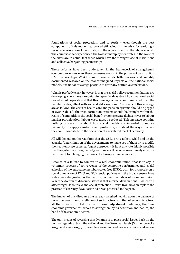foundations of social protection, and so forth – even though the best components of this model had proved efficacious in the crisis for avoiding a serious deterioration of the situation in the economy and on the labour market. The countries that experienced the lowest unemployment rates in the wake of the crisis are in actual fact those which have the strongest social institutions and collective bargaining partnerships.

These reforms have been undertaken in the framework of strengthened economic governance. As these processes are still in the process of construction (IMF versus hyper-OECD) and there exists little serious and reliably documented research on the real or imagined impacts on the national social models, it is not at this stage possible to draw any definitive conclusions.

What is perfectly clear, however, is that the social policy recommendations are developing a new message containing specific ideas about how a national social model should operate and that this message is being communicated to all the member states, albeit with some slight variations. The tenets of this message are as follows: the costs of health care and pension systems should be pegged or even reduced; the wage formation systems should be brought within the realm of competition; the social benefit systems create disincentives to labour market participation; labour costs must be reduced. This message contains nothing or very little about how social models are intended to reduce inequality, to supply assistance and protection, nor about the ways in which they could contribute to the operation of a regulated market economy.

All will depend on the real force that the CSRs prove able to wield and on the capacity/determination of the governments to make use of them or to modify their content (see principal/agent approach); it is, at any rate, highly possible that the system of strengthened governance will become an extremely effective instrument for changing the bases of a European social model.

Because of a failure to commit to a real economic union, that is to say, a voluntary process of convergence of the economic performance and social cohesion of the euro zone member states (see ETUC, 2013 for proposals on a social dimension of EMU and EU) , social policies – in the broad sense – have today been designated as the main adjustment variables of monetary union. What the dominant discourse states is that internal devaluations – which will affect wages, labour law and social protection – must from now on replace the practice of currency devaluation as it was practiced in the past.

The impact of this discourse has already weighed heavily upon the balance of power between the constellation of social actors and that of economic actors, all the more so in that the institutional adjustment underway, the 'new economic governance', serves to strengthen, by its definition and nature, the hand of the economic actors.

The only means of reversing this dynamic is to place social issues back on the political agenda at both the national and the European levels (Vandenbroucke 2013; Rodrigues 2013, ); to complete economic and monetary union and endow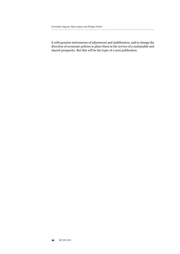Christophe Degryse, Maria Jepsen and Philippe Pochet

it with genuine instruments of adjustment and stabilization; and to change the direction of economic policies to place them in the service of a sustainable and shared prosperity. But this will be the topic of a next publication.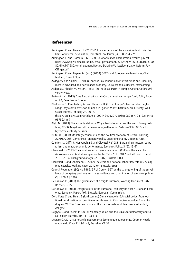#### **References**

- Armingeon K. and Baccaro L. (2012) Political economy of the sovereign debt crisis: the limits of internal devaluation, Industrial Law Journal, 41 (3), 254-275.
- Armingeon K. and Baccaro L. (2012b) Do labor market liberalization reforms pay off? http://www.ipw.unibe.ch/unibe/wiso/ipw/content/e2425/e2426/e93619/e950 82/files101682/ArmingeonandBaccaro-DoLaborMarketLiberalizationReformsPay-Off\_ger.pdf
- Armingeon K. and Beyeler M. (eds.) (2004) OECD and European welfare states, Cheltenham, Edward Elgar.
- Avdagic S. and Salardi P. (2013) Teneous link: labour market institutions and unemployment in advanced and new market economy, Socio-economic Review, forthcoming.
- Avdagic S., Rhodes M., Visser J. (eds.) (2012) Social Pacts in Europe, Oxford, Oxford University Press.
- Bertoncini Y. (2013) Zone Euro et démocratie(s): un débat en trompe l'oeil, Policy Paper no 94, Paris, Notre Europe.
- Blackstone B., Karnitschnig M. and Thomson R. (2012) Europe's banker talks tough Draghi says continent's social model is 'gone,' Won't backtrack on austerity, Wall Street Journal, February 24, 2012.
	- (http://online.wsj.com/article/SB100014240529702039608045772412212448 96782.html)
- Blyth M. (2013) The austerity delusion. Why a bad idea won over the West, Foreign Affairs, 92 (3), May-June. http://www.foreignaffairs.com/articles/139105/markblyth/the-austerity-delusion
- Buiter W. (2008) Monetary economics and the political economy of Central Banking, 27/01/2008, Conference "Monetary policy under uncertainty", Buenos Aires.
- Calmfors L., Driffil J., Honkapohja S. and Giavazzi F. (1988) Bargaining structure, corporatism and macro-economic performance, Economic Policy, 3 (6), 13-61.
- Clauwaert S. (2013) The country-specific recommendations (CSRs) in the social field An overview and (initial) comparison to the CSRs 2011-2012 and 2012-2013 and 2013–2014, Background analysis 2013.02, Brussels, ETUI.
- Clauwaert S. and Schömann I. (2012) The crisis and national labour law reforms: A mapping exercise, Working Paper 2012.04, Brussels, ETUI.
- Council Regulation (EC) No 1466/97 of 7 July 1997 on the strengthening of the surveillance of budgetary positions and the surveillance and coordination of economic policies, OJ L 209 2.8.1997
- De Grauwe P. (2011) The governance of a fragile Eurozone, Working Document 346. Brussels, CEPS.
- De Grauwe P. (2013) Design failure in the Eurozone can they be fixed? European Economy. Economic Papers 491, Brussels, European Commission.
- De la Porte C. and Heins E. (forthcoming) Game change in EU social policy: From optional re-calibration to coercitive retrenchment, in Xiarchogiannopoulou E. and Rodrigues PM. The Eurozone crisis and the transformation of democracy, Aldershot, Ashaate.
- Degryse C. and Pochet P. (2013) Monetary union and the stakes for democracy and social policy, Transfer, 19 (1), 103-116.
- Degryse C. (2012) La nouvelle gouvernance économique européenne, Courrier Hebdomadaire du Crisp 2148-2149, Bruxelles, CRISP.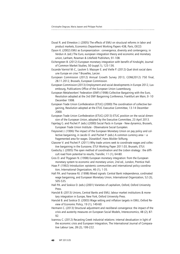Duval R. and Elmeskov J. (2005) The effects of EMU on structural reforms in labor and product markets, Economics Department Working Papers 438, Paris, OECD.

Dyson K. (2002) EMU as Europeanization : convergence, diversity and contengency, in Verdun A. (ed.) The Euro, european integration theory and economic and monetary union, Lanham, Rowman & Litlefield Publishers, 91-108.

Eichengreen B. (2012) European monetary integration with benefit of hindsight, Journal of Common Market Studies, 50 (suppl.1), 123-136.

Escande Varniol M.-C., Laulom S. Mazuyer E. and Vielle P. (2012) Quel droit social dans une Europe en crise ? Bruxelles, Larcier.

European Commission (2012) Annual Growth Survey 2013, COM(2012) 750 final, 28.11.2012, Brussels, European Commission.

- European Commission (2013) Employment and social developments in Europe 2012, Luxembourg, Publications Office of the European Union Luxembourg.
- European Metalworkers' Federation (EMF) (1998) Collective Bargaining with the Euro, Resolution adopted at the 3rd EMF Bargaining Conference, Frankfurt am Main, 9 -10 December 1998.

European Trade Union Confederation (ETUC) (2000) The coordination of collective bargaining, Resolution adopted at the ETUC Executive Committee, 13-14 December 2000.

European Trade Union Confederation (ETUC) (2013) ETUC position on the social dimension of the European Union, adopted by the Executive Committee, 23 April 2013.

Fajertag G. and Pochet P. (eds.) (2000) Social Pacts in Europe - New dynamics, Brussels, European Trade Union Institute - Observatoire Social Européen.

Freyssinet J. (1996) The impact of the European Monetary Union on pay policy and collective bargaining, in Jacobi O. and Pochet P. (eds.) A common currency area – a fragemented area for wages. Düsseldorf, Hans Böckler Stiftung.

Glassner V. and Pochet P. (2011) Why trade unions seek to coordinate wages and collective bargaining in the Eurozone, ETUI Working Paper 2011.03, Brussels, ETUI.

Goetschy J. (2005) The open method of coordination and the Lisbon strategy : the difficult road from potential to results, Transfer, 11 (1), 64-80.

Gros D. and Thygesen N. (1998) European monetary integration: from the European monetary system to economic and monetary union, 2nd ed., London, Prentice Hall.

Haas P. (1992) Introduction: epistemic communities and international policy coordination, International Organization, 46 (1), 1-35.

Hall PA. and Franzese RJ. (1998) Mixed signals: Central Bank independence, cordinated wage bargaining, and European Monetary Union, International Organization, 52 (3), 505-535.

- Hall PA. and Soskice D. (eds.) (2001) Varieties of capitalism, Oxford, Oxford University Press.
- Hancké B. (2013) Unions, Central Banks and EMU, labour market institutions & monetary integration in Europe, New York, Oxford University Press.

Hancké B. and Soskice D. (2003) Wage setting and inflation targets in EMU, Oxford Review of Economic Policy, 19 (1), 149-60.

Hermann C. (2013) Structural adjustment and neoliberal convergence: the impact of the crisis and austerity measures on European Social Models, Intereconomics, 48 (2), 87- 92.

Ioannou C. (2012) Recasting Greek industrial relations: internal devaluation in light of the economic crisis and European Integration, The International Journal of Comparative Labour Law, 28 (2), 199-222.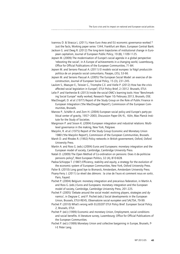Ioannou D. & Stracca L. (2011), Have Euro Area and EU economic governance worked ? Just the facts, Working paper series 1344, Frankfurt am Main, European Central Bank. Jackson G. and Deeg R. (2012) The long-term trajectories of institutional change in Euro-

pean capitalism, Journal of European Public Policy, 19 (8), 1109-1125.

Jepsen M. (2009) The modernisation of Europe's social agenda in a global perspective: 'rebooting the social', in A Europe of achievements in a changing world, Luxembourg, Office for Official Publications of the European Communities, 71-84.

Jepsen M. and Serrano Pascual A. (2011) El modelo social europeo: la frágil producción politica de un proyecto social comunitario, Pasajes, (35), 53-66.

Jepsen M. and Serrano Pascual A. (2005) The European Social Model: an exercise of deconstruction, Journal of European Social Policy, 15 (3), 231-245.

Laulom S., Mazuyer E., Teissier C., Triomphe C.E. and Vielle P. (2012) How has the crisis affected social legislation in Europe?, ETUI Policy Brief, 2/2012. Brussels, ETUI.

Lelie P. and Vanhercke B. (2013) Inside the social OMC's learning tools: How "Benchmarking Social Europe" really worked, Research Paper 10/February 2013, Brussels, OSE.

MacDougall, D. *et al.* (1977) Report of the Study Group on the Role of Public Finance in European Integration ('the MacDougall Report'), Commission of the European Communities, Brussels.

Manow P., Schäfer A. and Zorn H. (2004) European social policy and Europe's party-political center of gravity, 1957–2003, Discussion Paper 04/6., Köln, Max Planck Institute for the Study of Societies.

Marginson P. and Sisson K. (2004) European integration and industrial relations: Multilevel governance in the making, New York, Palgrave.

Marjolin, R. *et al.* (1975) Report of the Study Group Economic and Monetary Union 1980 ('the Marjolin Report'), Commission of the European Communities, Brussels.

Marsh D. and Rhodes R. (1992) Policy networks in British governement, Oxford, Oxford University Press.

Martin A. and Ross G. (eds.) (2004) Euros and Europeans: monetary integration and the European model of society, Cambridge, Cambridge University Press.

Natali D. (2009) The Open Method of Co-ordination on pensions: Does it de-politicise pensions policy?, West European Politics, 32 (4), 810-828.

Padoa-Schioppa T. (1987) Efficiency, stability and equity, a strategy for the evolution of the economic system of European Communities, New York, Oxford University Press.

Palier B. (2010) Long good bye to Bismarck, Amsterdam, Amsterdam University Press.

Pisany-Ferry J. (2011) Le réveil des démons : la crise de l'euro et comment nous en sortir, Paris, Fayard.

Pochet P. (2004) Belgium: monetary integration and precarious federation, in Martin A. and Ross G. (eds.) Euros and Europeans: monetary integration and the European model of society, Cambridge, Cambridge University Press, 201-225.

Pochet P. (2005) 'Debate around the social model: evolving players, strategies and dynamics', in Degryse C. and P. Pochet (eds.) Social developments in the European Union, Brussels, ETUI-REHS, Observatoire social européen and SALTSA, 79-99.

Pochet P. (2010) What's wrong with EU2020? ETUI Policy Brief. European Social Policy. 2, Brussels, ETUI.

Pochet P. (ed.) (1999) Economic and monetary Union, Employment, social conditions and social benefits. A literature survey, Luxembourg: Office for Official Publications of the European Communities.

Pochet P. (ed.) (1999) Monetary Union and collective bargaining in Europe, Brussels, P-I-E Peter Lang.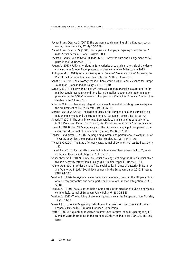- Pochet P. and Degryse C. (2012) The programmed dismantling of the European social model, Intereconomics, 47 (4), 200-229.
- Pochet P. and Fajertag G. (2000) Social pacts in Europe, in Fajertag G. and Pochet P. (eds.) Social pacts in Europe, Brussels, ETUI.
- Pochet P., Keune M. and Natali D. (eds.) (2010) After the euro and enlargement: social pacts in the EU, Brussels, ETUI.
- Regan A. (2013) Political tensions in Euro-varieties of capitalism, the crisis of the democratic state in Europe, Paper presented at Sase conference, Milano, June 2013.

Rodrigues M. J. (2013) What is missing for a "Genuine" Monetary Union? Assessing the Plans for a Eurozone Roadmap, Friedrich Ebert Stiftung, June 2013.

- Sabatier P. (1998) The advocacy coalition framework: revisions and relevance for Europe, Journal of European Public Policy, 6 (1), 98-130.
- Sacchi S. (2013) Policy without policy? Domestic agendas, market pressures and "informal but tough" economic conditionality in the Italian labour market reform, paper presented at the 20th Conference of Europeanists, Council for European Studies, Amsterdam, 25-27 June 2013.
- Schelkle W. (2013) Monetary integration in crisis: how well do existing theories explain the predicament of EMU?, Transfer, 19 (1), 37-48.
- Serrano Pascual A. (2009) The battle of ideas in the European field: the combat to defeat unemployment and the struggle to give it a name, Transfer, 15 (1), 53 70.
- Streeck W. (2011) The crisis in context. Democratic capitalism and its contradictions, MPIfG Discussion Paper 11/15, Koln, Max Planck Institute for the Study of Societies.
- Torres F. (2013) The EMU's legitimacy and the ECB as a strategic political player in the crisis context, Journal of European Integration, 35 (3), 287-300.
- Traxler F. and Kittel B. (2000) The bargaining system and performance: a comparison of 18 OECD countries, Comparative Political Studies, 33 (9), 1154-1190.
- Trichet J.-C. (2001) The Euro after two years, Journal of Common Market Studies, 39 (1), 1-13.
- Trichet J.-C. (2011) La compétitivité et le fonctionnement harmonieux de l'UEM, Intervention à l'Université de Liège, le 23 février 2011.
- Vandenbroucke F. (2012) Europe: the social challenge, defining the Union's social objective is a necessity rather than a luxury, OSE Opinion Paper 11, Brussels, OSE.
- Vanhercke B. (2013) Under the radar? EU social policy in times of austerity, in Natali D. and Vanhercke B. (eds.) Social developments in the European Union 2012, Brussels, ETUI, 91-122.
- Verdun A. (1996) An asymmetrical economic and monetary union in the EU: perceptions of monetary authorities and social partners, Journal of European Integration, 20 (1), 59-81.
- Verdun A. (1999) The role of the Delors Committee in the creation of EMU: an epistemic community?, Journal of European Public Policy, 6 (2), 308-328.
- Verdun A. (2013) The building of economic governance in the European Union, Transfer, 19 (1), 23-35.
- Visser J. (2013) Wage Bargaining Institutions from crisis to crisis, European Economy, Economic Papers 488. Brussels, European Commission.
- Watt A. (2009) A quantum of solace? An assessment of fiscal stimulus packages by EU Member States in response to the economic crisis, Working Paper 2009.05, Brussels, ETUI.